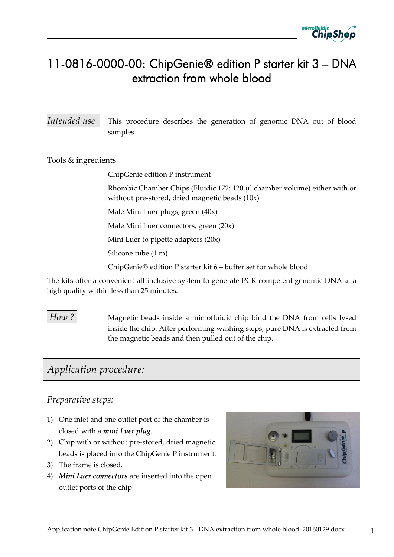

# 11-0816-0000-00: ChipGenie® edition P starter kit 3 – DNA extraction from whole blood

*Intended use* This procedure describes the generation of genomic DNA out of blood samples.

Tools & ingredients

ChipGenie edition P instrument

Rhombic Chamber Chips (Fluidic 172: 120 µl chamber volume) either with or without pre-stored, dried magnetic beads (10x)

Male Mini Luer plugs, green (40x)

Male Mini Luer connectors, green (20x)

Mini Luer to pipette adapters (20x)

Silicone tube (1 m)

ChipGenie® edition P starter kit 6 – buffer set for whole blood

The kits offer a convenient all-inclusive system to generate PCR-competent genomic DNA at a high quality within less than 25 minutes.

*How* ? Magnetic beads inside a microfluidic chip bind the DNA from cells lysed inside the chip. After performing washing steps, pure DNA is extracted from the magnetic beads and then pulled out of the chip.

# *Application procedure:*

#### *Preparative steps:*

- 1) One inlet and one outlet port of the chamber is closed with a *mini Luer plug*.
- 2) Chip with or without pre-stored, dried magnetic beads is placed into the ChipGenie P instrument.
- 3) The frame is closed.
- 4) *Mini Luer connectors* are inserted into the open outlet ports of the chip.

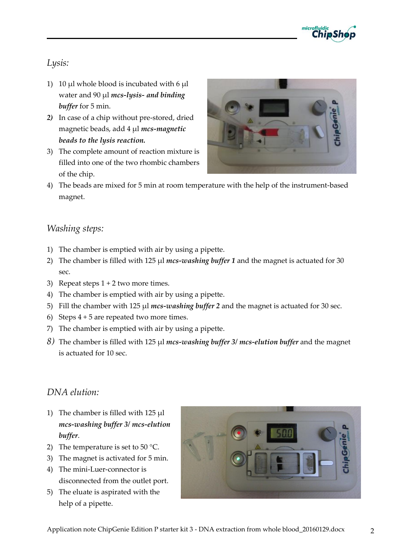

### *Lysis:*

- 1) 10 µl whole blood is incubated with  $6 \mu l$ water and 90 µl *mcs-lysis- and binding buffer* for 5 min.
- *2)* In case of a chip without pre-stored, dried magnetic beads, add 4 µl *mcs-magnetic beads to the lysis reaction.*
- 3) The complete amount of reaction mixture is filled into one of the two rhombic chambers of the chip.



4) The beads are mixed for 5 min at room temperature with the help of the instrument-based magnet.

#### *Washing steps:*

- 1) The chamber is emptied with air by using a pipette.
- 2) The chamber is filled with 125 µl *mcs-washing buffer* 1 and the magnet is actuated for 30 sec.
- 3) Repeat steps 1 + 2 two more times.
- 4) The chamber is emptied with air by using a pipette.
- 5) Fill the chamber with 125 µl *mcs-washing buffer 2* and the magnet is actuated for 30 sec.
- 6) Steps  $4 + 5$  are repeated two more times.
- 7) The chamber is emptied with air by using a pipette.
- *8)* The chamber is filled with 125 µl *mcs-washing buffer 3/ mcs-elution buffer* and the magnet is actuated for 10 sec.

### *DNA elution:*

- 1) The chamber is filled with  $125 \mu l$ *mcs-washing buffer 3/ mcs-elution buffer*.
- 2) The temperature is set to 50 °C.
- 3) The magnet is activated for 5 min.
- 4) The mini-Luer-connector is disconnected from the outlet port.
- 5) The eluate is aspirated with the help of a pipette.